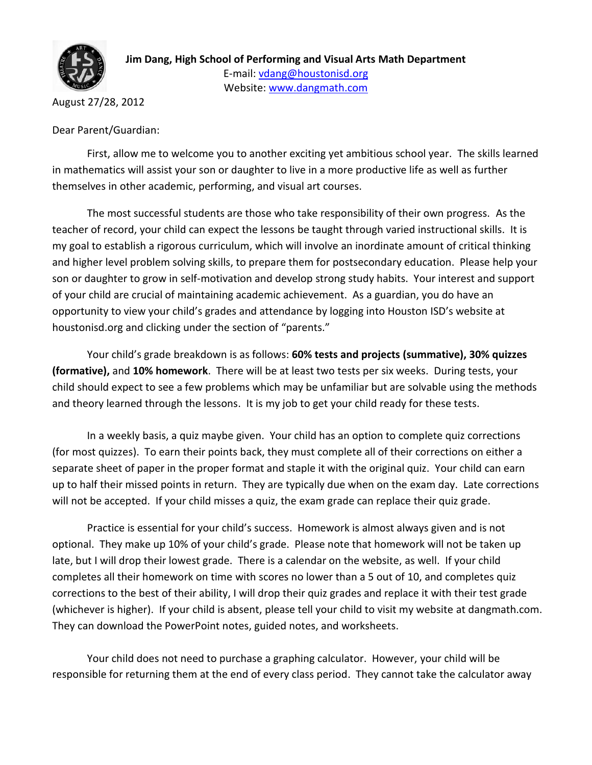

August 27/28, 2012

Dear Parent/Guardian:

First, allow me to welcome you to another exciting yet ambitious school year. The skills learned in mathematics will assist your son or daughter to live in a more productive life as well as further themselves in other academic, performing, and visual art courses.

The most successful students are those who take responsibility of their own progress. As the teacher of record, your child can expect the lessons be taught through varied instructional skills. It is my goal to establish a rigorous curriculum, which will involve an inordinate amount of critical thinking and higher level problem solving skills, to prepare them for postsecondary education. Please help your son or daughter to grow in self-motivation and develop strong study habits. Your interest and support of your child are crucial of maintaining academic achievement. As a guardian, you do have an opportunity to view your child's grades and attendance by logging into Houston ISD's website at houstonisd.org and clicking under the section of "parents."

Your child's grade breakdown is as follows: **60% tests and projects (summative), 30% quizzes (formative),** and **10% homework**. There will be at least two tests per six weeks. During tests, your child should expect to see a few problems which may be unfamiliar but are solvable using the methods and theory learned through the lessons. It is my job to get your child ready for these tests.

In a weekly basis, a quiz maybe given. Your child has an option to complete quiz corrections (for most quizzes). To earn their points back, they must complete all of their corrections on either a separate sheet of paper in the proper format and staple it with the original quiz. Your child can earn up to half their missed points in return. They are typically due when on the exam day. Late corrections will not be accepted. If your child misses a quiz, the exam grade can replace their quiz grade.

Practice is essential for your child's success. Homework is almost always given and is not optional. They make up 10% of your child's grade. Please note that homework will not be taken up late, but I will drop their lowest grade. There is a calendar on the website, as well. If your child completes all their homework on time with scores no lower than a 5 out of 10, and completes quiz corrections to the best of their ability, I will drop their quiz grades and replace it with their test grade (whichever is higher). If your child is absent, please tell your child to visit my website at dangmath.com. They can download the PowerPoint notes, guided notes, and worksheets.

Your child does not need to purchase a graphing calculator. However, your child will be responsible for returning them at the end of every class period. They cannot take the calculator away